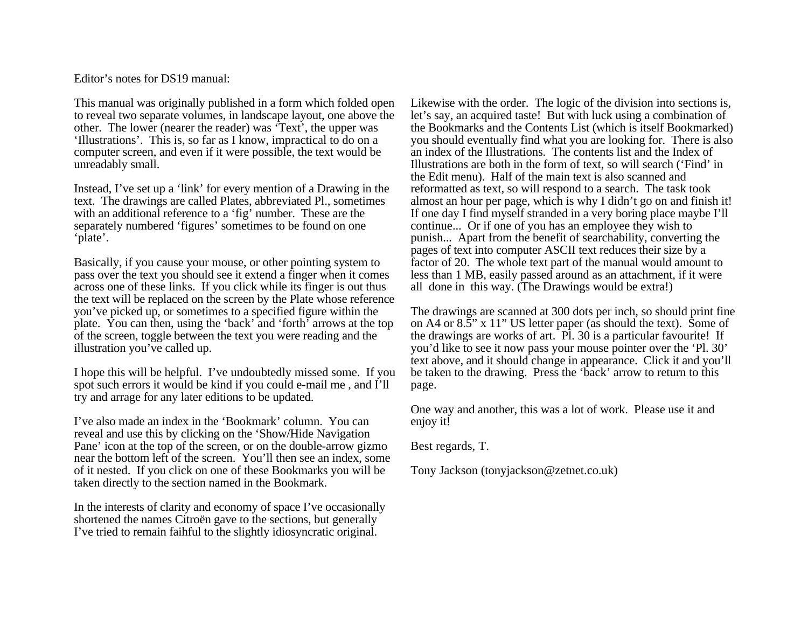Editor's notes for DS19 manual:

This manual was originally published in a form which folded open to reveal two separate volumes, in landscape layout, one above the other. The lower (nearer the reader) was 'Text', the upper was 'Illustrations'. This is, so far as I know, impractical to do on a computer screen, and even if it were possible, the text would be unreadably small.

Instead, I've set up a 'link' for every mention of a Drawing in the text. The drawings are called Plates, abbreviated Pl., sometimes with an additional reference to a 'fig' number. These are the separately numbered 'figures' sometimes to be found on one 'plate'.

Basically, if you cause your mouse, or other pointing system to pass over the text you should see it extend a finger when it comes across one of these links. If you click while its finger is out thus the text will be replaced on the screen by the Plate whose reference you've picked up, or sometimes to a specified figure within the plate. You can then, using the 'back' and 'forth' arrows at the top of the screen, toggle between the text you were reading and the illustration you've called up.

I hope this will be helpful. I've undoubtedly missed some. If you spot such errors it would be kind if you could e-mail me , and I'll try and arrage for any later editions to be updated.

I've also made an index in the 'Bookmark' column. You can reveal and use this by clicking on the 'Show/Hide Navigation Pane' icon at the top of the screen, or on the double-arrow gizmo near the bottom left of the screen. You'll then see an index, some of it nested. If you click on one of these Bookmarks you will be taken directly to the section named in the Bookmark.

In the interests of clarity and economy of space I've occasionally shortened the names Citroën gave to the sections, but generally I've tried to remain faihful to the slightly idiosyncratic original.

Likewise with the order. The logic of the division into sections is, let's say, an acquired taste! But with luck using a combination of the Bookmarks and the Contents List (which is itself Bookmarked) you should eventually find what you are looking for. There is also an index of the Illustrations. The contents list and the Index of Illustrations are both in the form of text, so will search ('Find' in the Edit menu). Half of the main text is also scanned and reformatted as text, so will respond to a search. The task took almost an hour per page, which is why I didn't go on and finish it! If one day I find myself stranded in a very boring place maybe I'll continue... Or if one of you has an employee they wish to punish... Apart from the benefit of searchability, converting the pages of text into computer ASCII text reduces their size by a factor of 20. The whole text part of the manual would amount to less than 1 MB, easily passed around as an attachment, if it were all done in this way. (The Drawings would be extra!)

The drawings are scanned at 300 dots per inch, so should print fine on A4 or 8.5" x 11" US letter paper (as should the text). Some of the drawings are works of art. [Pl. 30](#page-1-0) is a particular favourite! If you'd like to see it now pass your mouse pointer over the 'Pl. 30' text above, and it should change in appearance. Click it and you'll be taken to the drawing. Press the 'back' arrow to return to this page.

One way and another, this was a lot of work. Please use it and enjoy it!

Best regards, T.

Tony Jackson (tonyjackson@zetnet.co.uk)